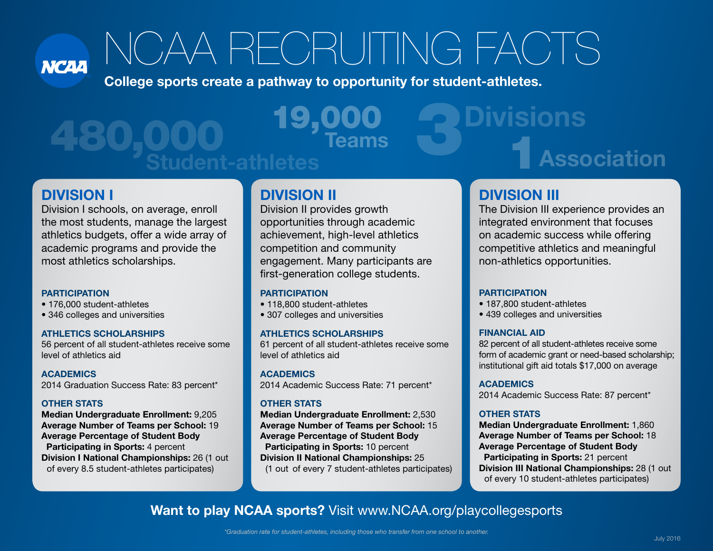**NCAA** 

# NCAA RECRUITING FACTS

College sports create a pathway to opportunity for student-athletes.

# 480,000 19,000 3Divisions UUU Teams<br>Student-athletes 1Association

### DIVISION I

Division I schools, on average, enroll the most students, manage the largest athletics budgets, offer a wide array of academic programs and provide the most athletics scholarships.

#### **PARTICIPATION**

- 176,000 student-athletes
- 346 colleges and universities

#### ATHLETICS SCHOLARSHIPS

56 percent of all student-athletes receive some level of athletics aid

**ACADEMICS** 2014 Graduation Success Rate: 83 percent\*

#### OTHER STATS

Median Undergraduate Enrollment: 9,205 Average Number of Teams per School: 19 Average Percentage of Student Body Participating in Sports: 4 percent Division I National Championships: 26 (1 out of every 8.5 student-athletes participates)

## DIVISION II

Division II provides growth opportunities through academic achievement, high-level athletics competition and community engagement. Many participants are first-generation college students.

#### **PARTICIPATION**

- 118,800 student-athletes
- 307 colleges and universities

#### ATHLETICS SCHOLARSHIPS

61 percent of all student-athletes receive some level of athletics aid

**ACADEMICS** 2014 Academic Success Rate: 71 percent\*

#### OTHER STATS

Median Undergraduate Enrollment: 2,530 Average Number of Teams per School: 15 Average Percentage of Student Body Participating in Sports: 10 percent Division II National Championships: 25 (1 out of every 7 student-athletes participates)

# DIVISION III

The Division III experience provides an integrated environment that focuses on academic success while offering competitive athletics and meaningful non-athletics opportunities.

#### **PARTICIPATION**

- 187,800 student-athletes
- 439 colleges and universities

#### FINANCIAL AID

82 percent of all student-athletes receive some form of academic grant or need-based scholarship; institutional gift aid totals \$17,000 on average

#### ACADEMICS

2014 Academic Success Rate: 87 percent\*

#### OTHER STATS

Median Undergraduate Enrollment: 1,860 Average Number of Teams per School: 18 Average Percentage of Student Body Participating in Sports: 21 percent **Division III National Championships: 28 (1 out** of every 10 student-athletes participates)

## Want to play NCAA sports? Visit www.NCAA.org/playcollegesports